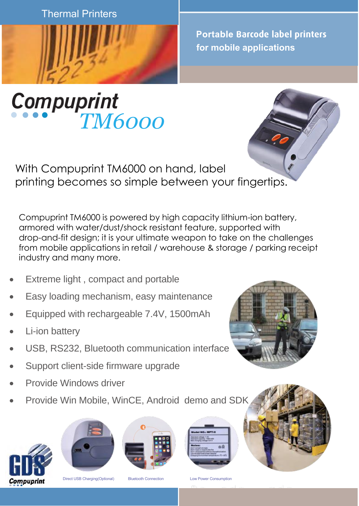Thermal Printers



**Portable Barcode label printers for mobile applications**

## *TM6000*



With Compuprint TM6000 on hand, label printing becomes so simple between your fingertips.

Compuprint TM6000 is powered by high capacity lithium-ion battery, armored with water/dust/shock resistant feature, supported with drop-and-fit design; it is your ultimate weapon to take on the challenges from mobile applications in retail / warehouse & storage / parking receipt industry and many more.

- Extreme light, compact and portable
- Easy loading mechanism, easy maintenance
- Equipped with rechargeable 7.4V, 1500mAh
- **Li-ion battery**
- USB, RS232, Bluetooth communication interface
- Support client-side firmware upgrade
- Provide Windows driver
- Provide Win Mobile, WinCE, Android demo and SDK













Direct USB Charging(Optional) Bluetooth Connection Low Power Consumption